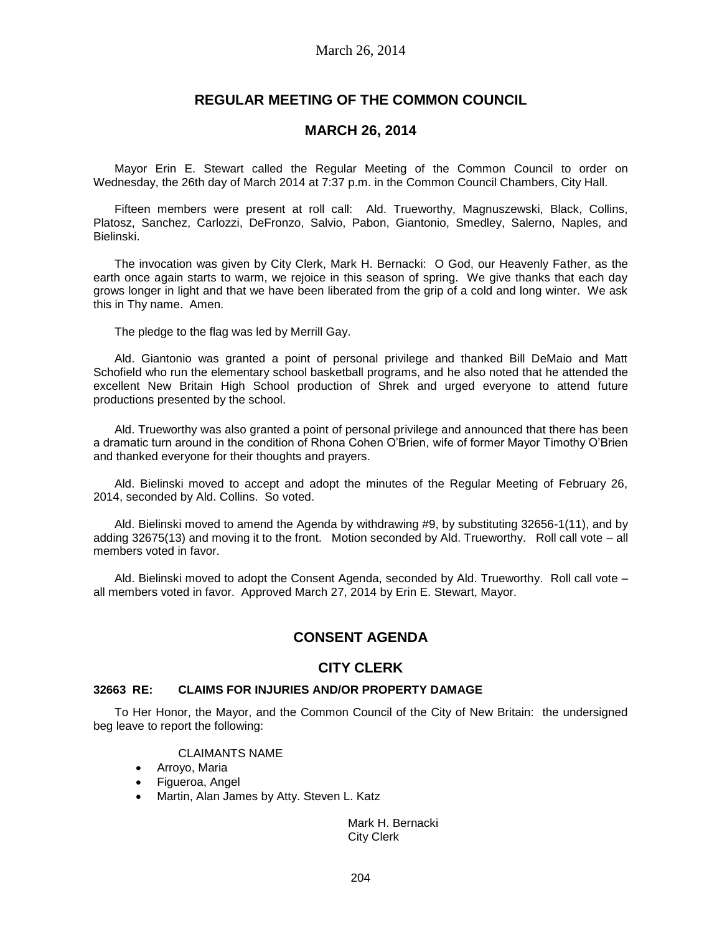# **REGULAR MEETING OF THE COMMON COUNCIL**

## **MARCH 26, 2014**

Mayor Erin E. Stewart called the Regular Meeting of the Common Council to order on Wednesday, the 26th day of March 2014 at 7:37 p.m. in the Common Council Chambers, City Hall.

Fifteen members were present at roll call: Ald. Trueworthy, Magnuszewski, Black, Collins, Platosz, Sanchez, Carlozzi, DeFronzo, Salvio, Pabon, Giantonio, Smedley, Salerno, Naples, and Bielinski.

The invocation was given by City Clerk, Mark H. Bernacki: O God, our Heavenly Father, as the earth once again starts to warm, we rejoice in this season of spring. We give thanks that each day grows longer in light and that we have been liberated from the grip of a cold and long winter. We ask this in Thy name. Amen.

The pledge to the flag was led by Merrill Gay.

Ald. Giantonio was granted a point of personal privilege and thanked Bill DeMaio and Matt Schofield who run the elementary school basketball programs, and he also noted that he attended the excellent New Britain High School production of Shrek and urged everyone to attend future productions presented by the school.

Ald. Trueworthy was also granted a point of personal privilege and announced that there has been a dramatic turn around in the condition of Rhona Cohen O'Brien, wife of former Mayor Timothy O'Brien and thanked everyone for their thoughts and prayers.

Ald. Bielinski moved to accept and adopt the minutes of the Regular Meeting of February 26, 2014, seconded by Ald. Collins. So voted.

Ald. Bielinski moved to amend the Agenda by withdrawing #9, by substituting 32656-1(11), and by adding 32675(13) and moving it to the front. Motion seconded by Ald. Trueworthy. Roll call vote – all members voted in favor.

Ald. Bielinski moved to adopt the Consent Agenda, seconded by Ald. Trueworthy. Roll call vote – all members voted in favor. Approved March 27, 2014 by Erin E. Stewart, Mayor.

# **CONSENT AGENDA**

# **CITY CLERK**

## **32663 RE: CLAIMS FOR INJURIES AND/OR PROPERTY DAMAGE**

To Her Honor, the Mayor, and the Common Council of the City of New Britain: the undersigned beg leave to report the following:

## CLAIMANTS NAME

- Arroyo, Maria
- Figueroa, Angel
- Martin, Alan James by Atty. Steven L. Katz

Mark H. Bernacki City Clerk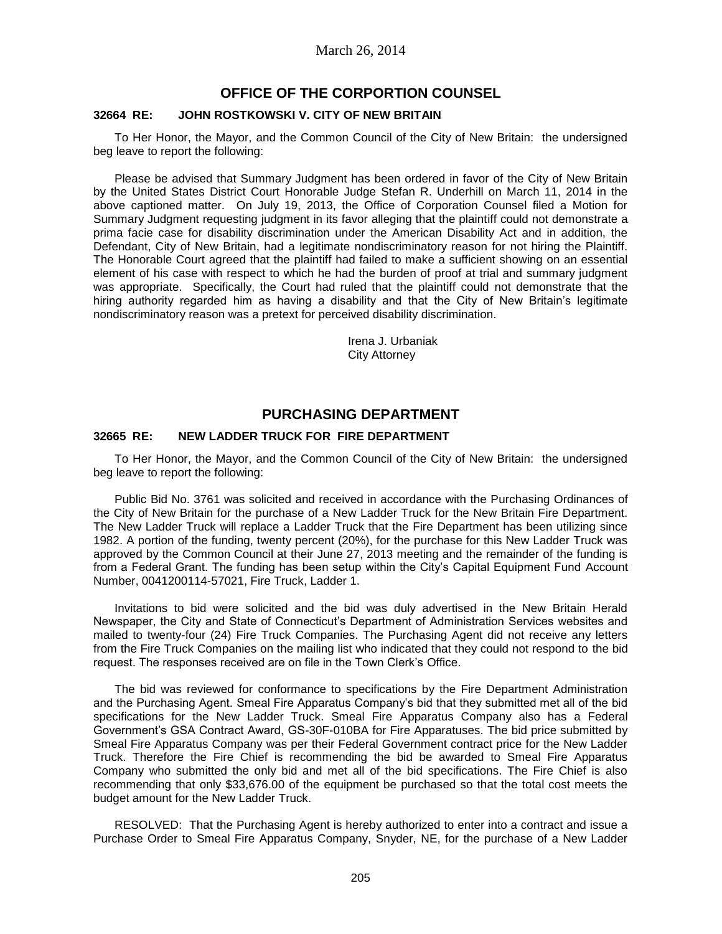## **OFFICE OF THE CORPORTION COUNSEL**

#### **32664 RE: JOHN ROSTKOWSKI V. CITY OF NEW BRITAIN**

To Her Honor, the Mayor, and the Common Council of the City of New Britain: the undersigned beg leave to report the following:

Please be advised that Summary Judgment has been ordered in favor of the City of New Britain by the United States District Court Honorable Judge Stefan R. Underhill on March 11, 2014 in the above captioned matter. On July 19, 2013, the Office of Corporation Counsel filed a Motion for Summary Judgment requesting judgment in its favor alleging that the plaintiff could not demonstrate a prima facie case for disability discrimination under the American Disability Act and in addition, the Defendant, City of New Britain, had a legitimate nondiscriminatory reason for not hiring the Plaintiff. The Honorable Court agreed that the plaintiff had failed to make a sufficient showing on an essential element of his case with respect to which he had the burden of proof at trial and summary judgment was appropriate. Specifically, the Court had ruled that the plaintiff could not demonstrate that the hiring authority regarded him as having a disability and that the City of New Britain's legitimate nondiscriminatory reason was a pretext for perceived disability discrimination.

> Irena J. Urbaniak City Attorney

# **PURCHASING DEPARTMENT**

#### **32665 RE: NEW LADDER TRUCK FOR FIRE DEPARTMENT**

To Her Honor, the Mayor, and the Common Council of the City of New Britain: the undersigned beg leave to report the following:

Public Bid No. 3761 was solicited and received in accordance with the Purchasing Ordinances of the City of New Britain for the purchase of a New Ladder Truck for the New Britain Fire Department. The New Ladder Truck will replace a Ladder Truck that the Fire Department has been utilizing since 1982. A portion of the funding, twenty percent (20%), for the purchase for this New Ladder Truck was approved by the Common Council at their June 27, 2013 meeting and the remainder of the funding is from a Federal Grant. The funding has been setup within the City's Capital Equipment Fund Account Number, 0041200114-57021, Fire Truck, Ladder 1.

Invitations to bid were solicited and the bid was duly advertised in the New Britain Herald Newspaper, the City and State of Connecticut's Department of Administration Services websites and mailed to twenty-four (24) Fire Truck Companies. The Purchasing Agent did not receive any letters from the Fire Truck Companies on the mailing list who indicated that they could not respond to the bid request. The responses received are on file in the Town Clerk's Office.

The bid was reviewed for conformance to specifications by the Fire Department Administration and the Purchasing Agent. Smeal Fire Apparatus Company's bid that they submitted met all of the bid specifications for the New Ladder Truck. Smeal Fire Apparatus Company also has a Federal Government's GSA Contract Award, GS-30F-010BA for Fire Apparatuses. The bid price submitted by Smeal Fire Apparatus Company was per their Federal Government contract price for the New Ladder Truck. Therefore the Fire Chief is recommending the bid be awarded to Smeal Fire Apparatus Company who submitted the only bid and met all of the bid specifications. The Fire Chief is also recommending that only \$33,676.00 of the equipment be purchased so that the total cost meets the budget amount for the New Ladder Truck.

RESOLVED: That the Purchasing Agent is hereby authorized to enter into a contract and issue a Purchase Order to Smeal Fire Apparatus Company, Snyder, NE, for the purchase of a New Ladder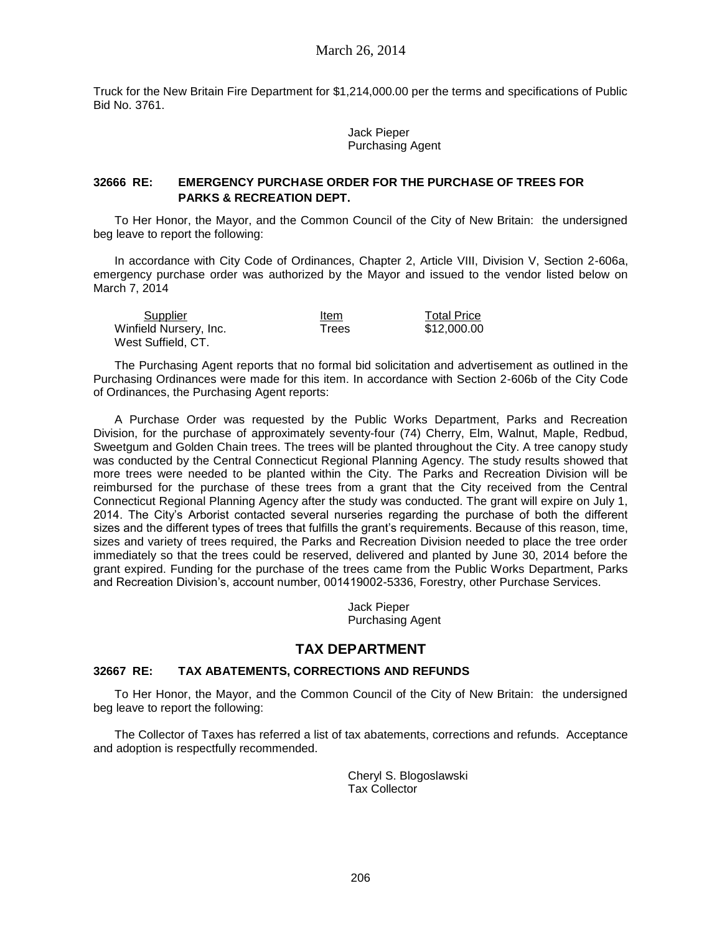Truck for the New Britain Fire Department for \$1,214,000.00 per the terms and specifications of Public Bid No. 3761.

> Jack Pieper Purchasing Agent

## **32666 RE: EMERGENCY PURCHASE ORDER FOR THE PURCHASE OF TREES FOR PARKS & RECREATION DEPT.**

To Her Honor, the Mayor, and the Common Council of the City of New Britain: the undersigned beg leave to report the following:

In accordance with City Code of Ordinances, Chapter 2, Article VIII, Division V, Section 2-606a, emergency purchase order was authorized by the Mayor and issued to the vendor listed below on March 7, 2014

| Supplier               | Item  | <b>Total Price</b> |
|------------------------|-------|--------------------|
| Winfield Nursery, Inc. | Trees | \$12,000.00        |
| West Suffield, CT.     |       |                    |

The Purchasing Agent reports that no formal bid solicitation and advertisement as outlined in the Purchasing Ordinances were made for this item. In accordance with Section 2-606b of the City Code of Ordinances, the Purchasing Agent reports:

A Purchase Order was requested by the Public Works Department, Parks and Recreation Division, for the purchase of approximately seventy-four (74) Cherry, Elm, Walnut, Maple, Redbud, Sweetgum and Golden Chain trees. The trees will be planted throughout the City. A tree canopy study was conducted by the Central Connecticut Regional Planning Agency. The study results showed that more trees were needed to be planted within the City. The Parks and Recreation Division will be reimbursed for the purchase of these trees from a grant that the City received from the Central Connecticut Regional Planning Agency after the study was conducted. The grant will expire on July 1, 2014. The City's Arborist contacted several nurseries regarding the purchase of both the different sizes and the different types of trees that fulfills the grant's requirements. Because of this reason, time, sizes and variety of trees required, the Parks and Recreation Division needed to place the tree order immediately so that the trees could be reserved, delivered and planted by June 30, 2014 before the grant expired. Funding for the purchase of the trees came from the Public Works Department, Parks and Recreation Division's, account number, 001419002-5336, Forestry, other Purchase Services.

> Jack Pieper Purchasing Agent

# **TAX DEPARTMENT**

#### **32667 RE: TAX ABATEMENTS, CORRECTIONS AND REFUNDS**

To Her Honor, the Mayor, and the Common Council of the City of New Britain: the undersigned beg leave to report the following:

The Collector of Taxes has referred a list of tax abatements, corrections and refunds. Acceptance and adoption is respectfully recommended.

> Cheryl S. Blogoslawski Tax Collector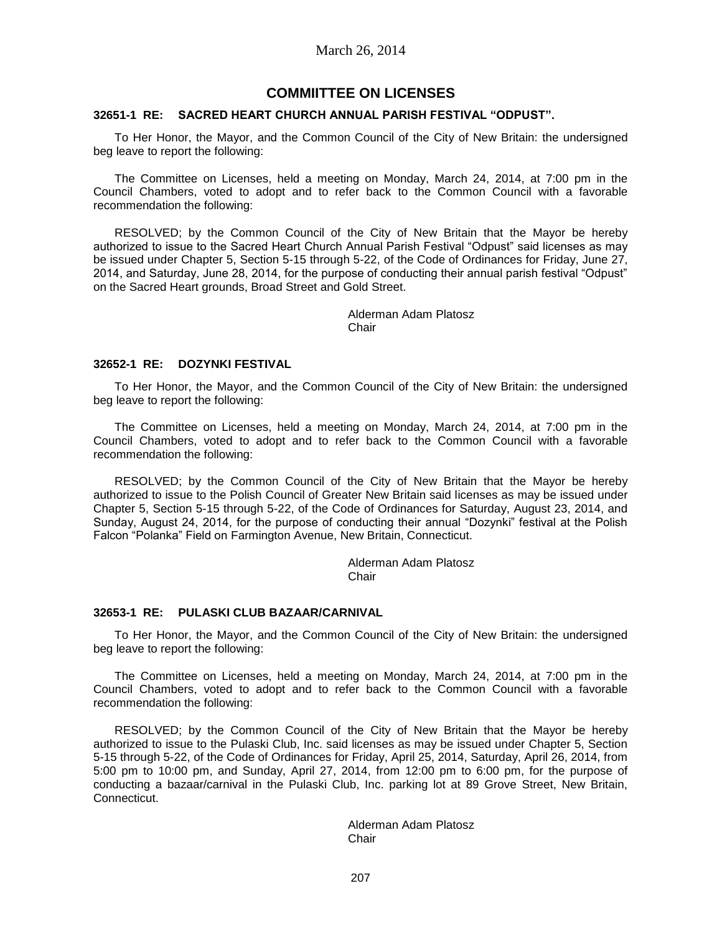## **COMMIITTEE ON LICENSES**

#### **32651-1 RE: SACRED HEART CHURCH ANNUAL PARISH FESTIVAL "ODPUST".**

To Her Honor, the Mayor, and the Common Council of the City of New Britain: the undersigned beg leave to report the following:

The Committee on Licenses, held a meeting on Monday, March 24, 2014, at 7:00 pm in the Council Chambers, voted to adopt and to refer back to the Common Council with a favorable recommendation the following:

RESOLVED; by the Common Council of the City of New Britain that the Mayor be hereby authorized to issue to the Sacred Heart Church Annual Parish Festival "Odpust" said licenses as may be issued under Chapter 5, Section 5-15 through 5-22, of the Code of Ordinances for Friday, June 27, 2014, and Saturday, June 28, 2014, for the purpose of conducting their annual parish festival "Odpust" on the Sacred Heart grounds, Broad Street and Gold Street.

> Alderman Adam Platosz **Chair**

## **32652-1 RE: DOZYNKI FESTIVAL**

To Her Honor, the Mayor, and the Common Council of the City of New Britain: the undersigned beg leave to report the following:

The Committee on Licenses, held a meeting on Monday, March 24, 2014, at 7:00 pm in the Council Chambers, voted to adopt and to refer back to the Common Council with a favorable recommendation the following:

RESOLVED; by the Common Council of the City of New Britain that the Mayor be hereby authorized to issue to the Polish Council of Greater New Britain said licenses as may be issued under Chapter 5, Section 5-15 through 5-22, of the Code of Ordinances for Saturday, August 23, 2014, and Sunday, August 24, 2014, for the purpose of conducting their annual "Dozynki" festival at the Polish Falcon "Polanka" Field on Farmington Avenue, New Britain, Connecticut.

> Alderman Adam Platosz Chair

## **32653-1 RE: PULASKI CLUB BAZAAR/CARNIVAL**

To Her Honor, the Mayor, and the Common Council of the City of New Britain: the undersigned beg leave to report the following:

The Committee on Licenses, held a meeting on Monday, March 24, 2014, at 7:00 pm in the Council Chambers, voted to adopt and to refer back to the Common Council with a favorable recommendation the following:

RESOLVED; by the Common Council of the City of New Britain that the Mayor be hereby authorized to issue to the Pulaski Club, Inc. said licenses as may be issued under Chapter 5, Section 5-15 through 5-22, of the Code of Ordinances for Friday, April 25, 2014, Saturday, April 26, 2014, from 5:00 pm to 10:00 pm, and Sunday, April 27, 2014, from 12:00 pm to 6:00 pm, for the purpose of conducting a bazaar/carnival in the Pulaski Club, Inc. parking lot at 89 Grove Street, New Britain, Connecticut.

> Alderman Adam Platosz **Chair**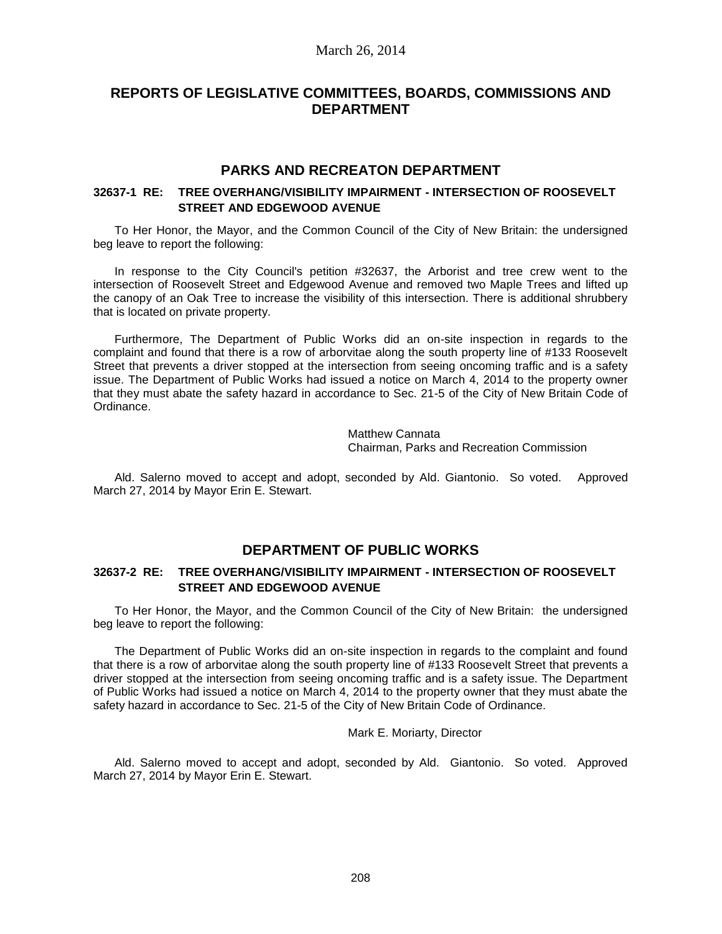# **REPORTS OF LEGISLATIVE COMMITTEES, BOARDS, COMMISSIONS AND DEPARTMENT**

# **PARKS AND RECREATON DEPARTMENT**

## **32637-1 RE: TREE OVERHANG/VISIBILITY IMPAIRMENT - INTERSECTION OF ROOSEVELT STREET AND EDGEWOOD AVENUE**

To Her Honor, the Mayor, and the Common Council of the City of New Britain: the undersigned beg leave to report the following:

In response to the City Council's petition #32637, the Arborist and tree crew went to the intersection of Roosevelt Street and Edgewood Avenue and removed two Maple Trees and lifted up the canopy of an Oak Tree to increase the visibility of this intersection. There is additional shrubbery that is located on private property.

Furthermore, The Department of Public Works did an on-site inspection in regards to the complaint and found that there is a row of arborvitae along the south property line of #133 Roosevelt Street that prevents a driver stopped at the intersection from seeing oncoming traffic and is a safety issue. The Department of Public Works had issued a notice on March 4, 2014 to the property owner that they must abate the safety hazard in accordance to Sec. 21-5 of the City of New Britain Code of Ordinance.

> Matthew Cannata Chairman, Parks and Recreation Commission

Ald. Salerno moved to accept and adopt, seconded by Ald. Giantonio. So voted. Approved March 27, 2014 by Mayor Erin E. Stewart.

# **DEPARTMENT OF PUBLIC WORKS**

## **32637-2 RE: TREE OVERHANG/VISIBILITY IMPAIRMENT - INTERSECTION OF ROOSEVELT STREET AND EDGEWOOD AVENUE**

To Her Honor, the Mayor, and the Common Council of the City of New Britain: the undersigned beg leave to report the following:

The Department of Public Works did an on-site inspection in regards to the complaint and found that there is a row of arborvitae along the south property line of #133 Roosevelt Street that prevents a driver stopped at the intersection from seeing oncoming traffic and is a safety issue. The Department of Public Works had issued a notice on March 4, 2014 to the property owner that they must abate the safety hazard in accordance to Sec. 21-5 of the City of New Britain Code of Ordinance.

#### Mark E. Moriarty, Director

Ald. Salerno moved to accept and adopt, seconded by Ald. Giantonio. So voted. Approved March 27, 2014 by Mayor Erin E. Stewart.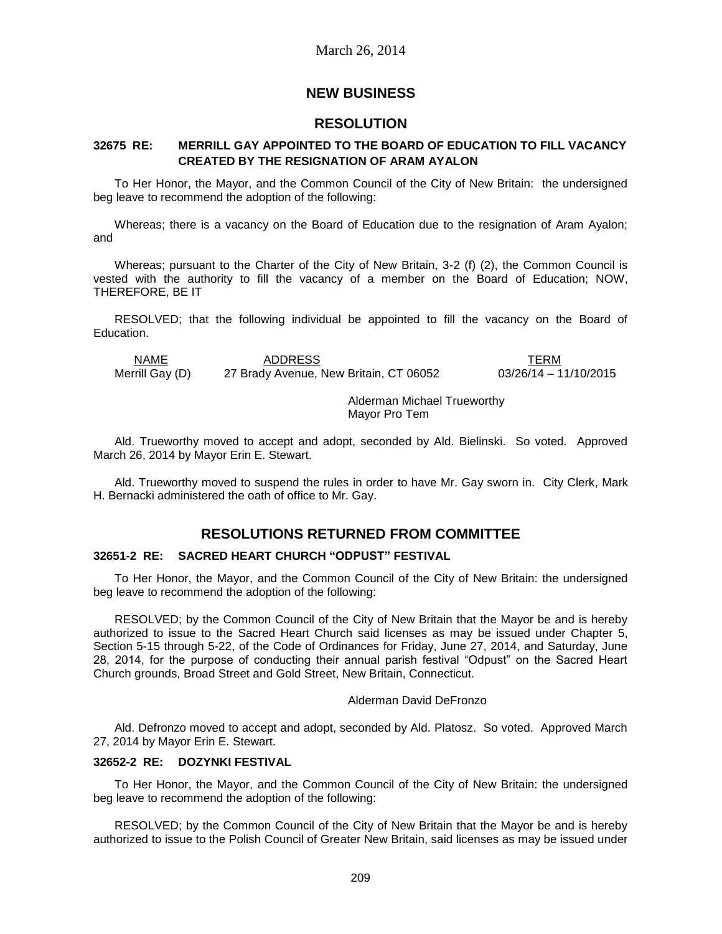# **NEW BUSINESS**

# **RESOLUTION**

## **32675 RE: MERRILL GAY APPOINTED TO THE BOARD OF EDUCATION TO FILL VACANCY CREATED BY THE RESIGNATION OF ARAM AYALON**

To Her Honor, the Mayor, and the Common Council of the City of New Britain: the undersigned beg leave to recommend the adoption of the following:

Whereas; there is a vacancy on the Board of Education due to the resignation of Aram Ayalon; and

Whereas; pursuant to the Charter of the City of New Britain, 3-2 (f) (2), the Common Council is vested with the authority to fill the vacancy of a member on the Board of Education; NOW, THEREFORE, BE IT

RESOLVED; that the following individual be appointed to fill the vacancy on the Board of Education.

NAME ADDRESS TERM Merrill Gay (D) 27 Brady Avenue, New Britain, CT 06052 03/26/14 – 11/10/2015

> Alderman Michael Trueworthy Mayor Pro Tem

Ald. Trueworthy moved to accept and adopt, seconded by Ald. Bielinski. So voted. Approved March 26, 2014 by Mayor Erin E. Stewart.

Ald. Trueworthy moved to suspend the rules in order to have Mr. Gay sworn in. City Clerk, Mark H. Bernacki administered the oath of office to Mr. Gay.

# **RESOLUTIONS RETURNED FROM COMMITTEE**

## **32651-2 RE: SACRED HEART CHURCH "ODPUST" FESTIVAL**

To Her Honor, the Mayor, and the Common Council of the City of New Britain: the undersigned beg leave to recommend the adoption of the following:

RESOLVED; by the Common Council of the City of New Britain that the Mayor be and is hereby authorized to issue to the Sacred Heart Church said licenses as may be issued under Chapter 5, Section 5-15 through 5-22, of the Code of Ordinances for Friday, June 27, 2014, and Saturday, June 28, 2014, for the purpose of conducting their annual parish festival "Odpust" on the Sacred Heart Church grounds, Broad Street and Gold Street, New Britain, Connecticut.

#### Alderman David DeFronzo

Ald. Defronzo moved to accept and adopt, seconded by Ald. Platosz. So voted. Approved March 27, 2014 by Mayor Erin E. Stewart.

#### **32652-2 RE: DOZYNKI FESTIVAL**

To Her Honor, the Mayor, and the Common Council of the City of New Britain: the undersigned beg leave to recommend the adoption of the following:

RESOLVED; by the Common Council of the City of New Britain that the Mayor be and is hereby authorized to issue to the Polish Council of Greater New Britain, said licenses as may be issued under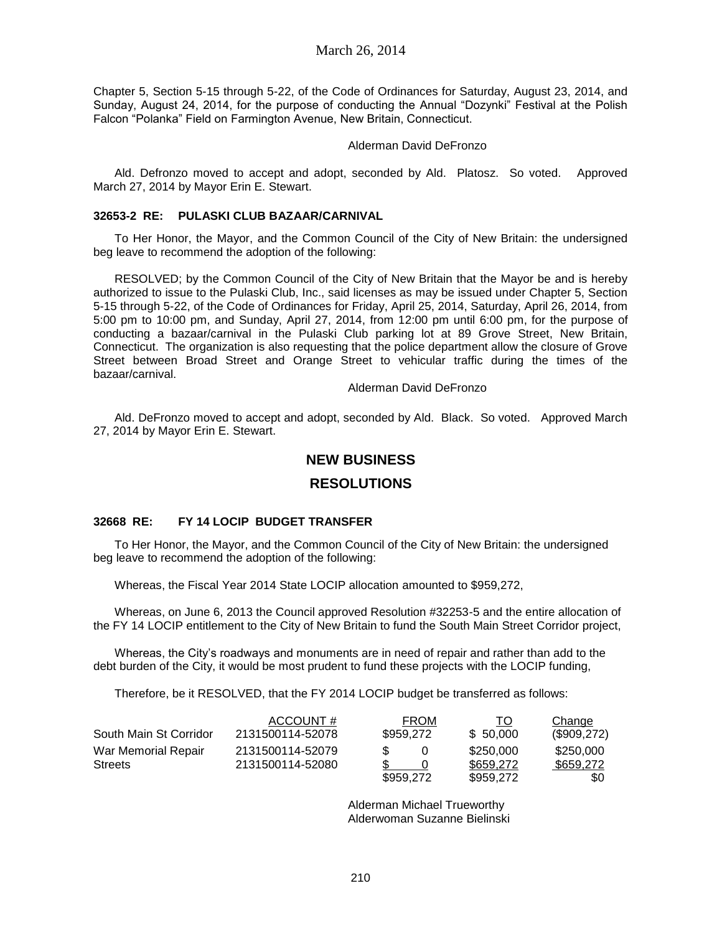Chapter 5, Section 5-15 through 5-22, of the Code of Ordinances for Saturday, August 23, 2014, and Sunday, August 24, 2014, for the purpose of conducting the Annual "Dozynki" Festival at the Polish Falcon "Polanka" Field on Farmington Avenue, New Britain, Connecticut.

## Alderman David DeFronzo

Ald. Defronzo moved to accept and adopt, seconded by Ald. Platosz. So voted. Approved March 27, 2014 by Mayor Erin E. Stewart.

#### **32653-2 RE: PULASKI CLUB BAZAAR/CARNIVAL**

To Her Honor, the Mayor, and the Common Council of the City of New Britain: the undersigned beg leave to recommend the adoption of the following:

RESOLVED; by the Common Council of the City of New Britain that the Mayor be and is hereby authorized to issue to the Pulaski Club, Inc., said licenses as may be issued under Chapter 5, Section 5-15 through 5-22, of the Code of Ordinances for Friday, April 25, 2014, Saturday, April 26, 2014, from 5:00 pm to 10:00 pm, and Sunday, April 27, 2014, from 12:00 pm until 6:00 pm, for the purpose of conducting a bazaar/carnival in the Pulaski Club parking lot at 89 Grove Street, New Britain, Connecticut. The organization is also requesting that the police department allow the closure of Grove Street between Broad Street and Orange Street to vehicular traffic during the times of the bazaar/carnival.

#### Alderman David DeFronzo

Ald. DeFronzo moved to accept and adopt, seconded by Ald. Black. So voted. Approved March 27, 2014 by Mayor Erin E. Stewart.

# **NEW BUSINESS**

# **RESOLUTIONS**

## **32668 RE: FY 14 LOCIP BUDGET TRANSFER**

To Her Honor, the Mayor, and the Common Council of the City of New Britain: the undersigned beg leave to recommend the adoption of the following:

Whereas, the Fiscal Year 2014 State LOCIP allocation amounted to \$959,272,

Whereas, on June 6, 2013 the Council approved Resolution #32253-5 and the entire allocation of the FY 14 LOCIP entitlement to the City of New Britain to fund the South Main Street Corridor project,

Whereas, the City's roadways and monuments are in need of repair and rather than add to the debt burden of the City, it would be most prudent to fund these projects with the LOCIP funding,

Therefore, be it RESOLVED, that the FY 2014 LOCIP budget be transferred as follows:

|                        | ACCOUNT#         |           | <b>FROM</b> | ТO        | Change      |
|------------------------|------------------|-----------|-------------|-----------|-------------|
| South Main St Corridor | 2131500114-52078 | \$959.272 |             | \$ 50,000 | (\$909,272) |
| War Memorial Repair    | 2131500114-52079 | S         |             | \$250,000 | \$250,000   |
| <b>Streets</b>         | 2131500114-52080 |           |             | \$659,272 | \$659.272   |
|                        |                  | \$959,272 |             | \$959,272 | \$0         |

Alderman Michael Trueworthy Alderwoman Suzanne Bielinski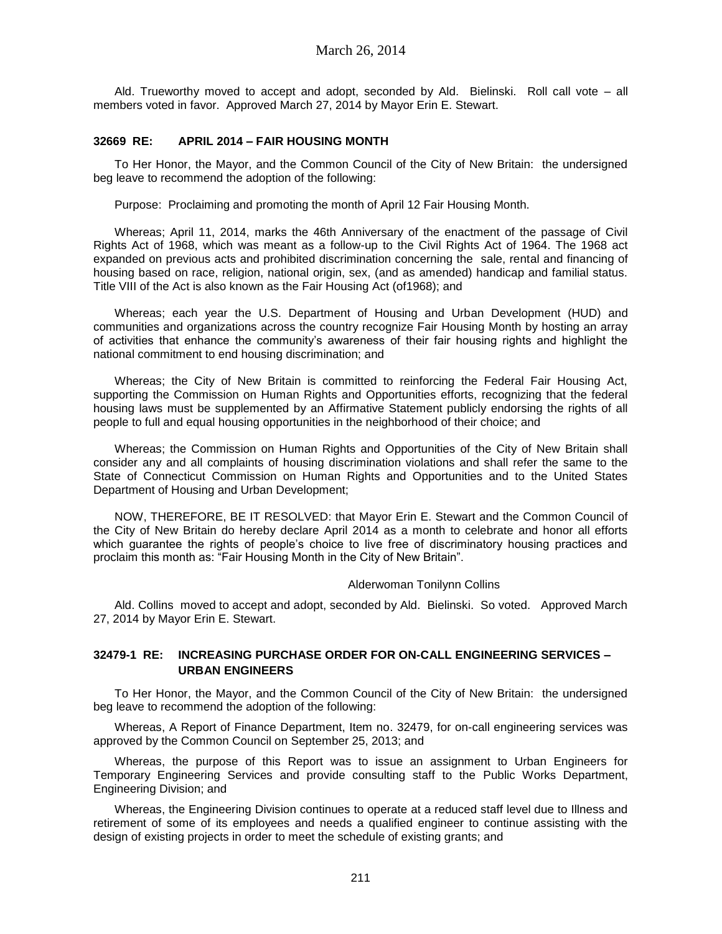Ald. Trueworthy moved to accept and adopt, seconded by Ald. Bielinski. Roll call vote – all members voted in favor. Approved March 27, 2014 by Mayor Erin E. Stewart.

## **32669 RE: APRIL 2014 – FAIR HOUSING MONTH**

To Her Honor, the Mayor, and the Common Council of the City of New Britain: the undersigned beg leave to recommend the adoption of the following:

Purpose: Proclaiming and promoting the month of April 12 Fair Housing Month.

Whereas; April 11, 2014, marks the 46th Anniversary of the enactment of the passage of Civil Rights Act of 1968, which was meant as a follow-up to the Civil Rights Act of 1964. The 1968 act expanded on previous acts and prohibited discrimination concerning the sale, rental and financing of housing based on race, religion, national origin, sex, (and as amended) handicap and familial status. Title VIII of the Act is also known as the Fair Housing Act (of1968); and

Whereas; each year the U.S. Department of Housing and Urban Development (HUD) and communities and organizations across the country recognize Fair Housing Month by hosting an array of activities that enhance the community's awareness of their fair housing rights and highlight the national commitment to end housing discrimination; and

Whereas; the City of New Britain is committed to reinforcing the Federal Fair Housing Act, supporting the Commission on Human Rights and Opportunities efforts, recognizing that the federal housing laws must be supplemented by an Affirmative Statement publicly endorsing the rights of all people to full and equal housing opportunities in the neighborhood of their choice; and

Whereas; the Commission on Human Rights and Opportunities of the City of New Britain shall consider any and all complaints of housing discrimination violations and shall refer the same to the State of Connecticut Commission on Human Rights and Opportunities and to the United States Department of Housing and Urban Development;

NOW, THEREFORE, BE IT RESOLVED: that Mayor Erin E. Stewart and the Common Council of the City of New Britain do hereby declare April 2014 as a month to celebrate and honor all efforts which guarantee the rights of people's choice to live free of discriminatory housing practices and proclaim this month as: "Fair Housing Month in the City of New Britain".

#### Alderwoman Tonilynn Collins

Ald. Collins moved to accept and adopt, seconded by Ald. Bielinski. So voted. Approved March 27, 2014 by Mayor Erin E. Stewart.

## **32479-1 RE: INCREASING PURCHASE ORDER FOR ON-CALL ENGINEERING SERVICES – URBAN ENGINEERS**

To Her Honor, the Mayor, and the Common Council of the City of New Britain: the undersigned beg leave to recommend the adoption of the following:

Whereas, A Report of Finance Department, Item no. 32479, for on-call engineering services was approved by the Common Council on September 25, 2013; and

Whereas, the purpose of this Report was to issue an assignment to Urban Engineers for Temporary Engineering Services and provide consulting staff to the Public Works Department, Engineering Division; and

Whereas, the Engineering Division continues to operate at a reduced staff level due to Illness and retirement of some of its employees and needs a qualified engineer to continue assisting with the design of existing projects in order to meet the schedule of existing grants; and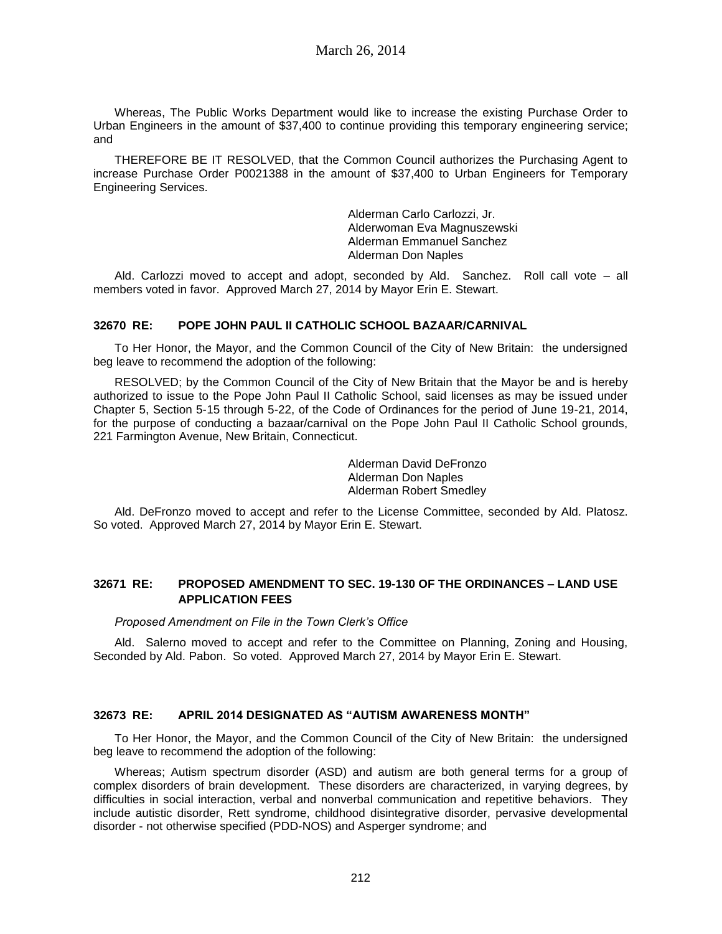Whereas, The Public Works Department would like to increase the existing Purchase Order to Urban Engineers in the amount of \$37,400 to continue providing this temporary engineering service; and

THEREFORE BE IT RESOLVED, that the Common Council authorizes the Purchasing Agent to increase Purchase Order P0021388 in the amount of \$37,400 to Urban Engineers for Temporary Engineering Services.

> Alderman Carlo Carlozzi, Jr. Alderwoman Eva Magnuszewski Alderman Emmanuel Sanchez Alderman Don Naples

Ald. Carlozzi moved to accept and adopt, seconded by Ald. Sanchez. Roll call vote – all members voted in favor. Approved March 27, 2014 by Mayor Erin E. Stewart.

## **32670 RE: POPE JOHN PAUL II CATHOLIC SCHOOL BAZAAR/CARNIVAL**

To Her Honor, the Mayor, and the Common Council of the City of New Britain: the undersigned beg leave to recommend the adoption of the following:

RESOLVED; by the Common Council of the City of New Britain that the Mayor be and is hereby authorized to issue to the Pope John Paul II Catholic School, said licenses as may be issued under Chapter 5, Section 5-15 through 5-22, of the Code of Ordinances for the period of June 19-21, 2014, for the purpose of conducting a bazaar/carnival on the Pope John Paul II Catholic School grounds, 221 Farmington Avenue, New Britain, Connecticut.

> Alderman David DeFronzo Alderman Don Naples Alderman Robert Smedley

Ald. DeFronzo moved to accept and refer to the License Committee, seconded by Ald. Platosz. So voted. Approved March 27, 2014 by Mayor Erin E. Stewart.

## **32671 RE: PROPOSED AMENDMENT TO SEC. 19-130 OF THE ORDINANCES – LAND USE APPLICATION FEES**

*Proposed Amendment on File in the Town Clerk's Office*

Ald. Salerno moved to accept and refer to the Committee on Planning, Zoning and Housing, Seconded by Ald. Pabon. So voted. Approved March 27, 2014 by Mayor Erin E. Stewart.

#### **32673 RE: APRIL 2014 DESIGNATED AS "AUTISM AWARENESS MONTH"**

To Her Honor, the Mayor, and the Common Council of the City of New Britain: the undersigned beg leave to recommend the adoption of the following:

Whereas; Autism spectrum disorder (ASD) and autism are both general terms for a group of complex disorders of brain development. These disorders are characterized, in varying degrees, by difficulties in social interaction, verbal and nonverbal communication and repetitive behaviors. They include autistic disorder, Rett syndrome, childhood disintegrative disorder, pervasive developmental disorder - not otherwise specified (PDD-NOS) and Asperger syndrome; and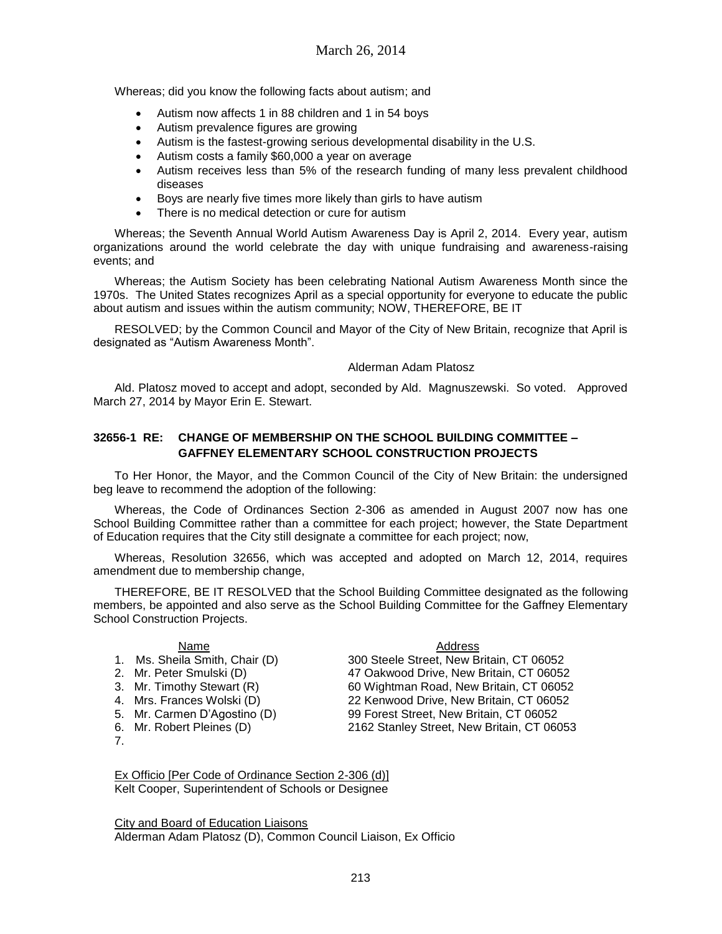Whereas; did you know the following facts about autism; and

- Autism now affects 1 in 88 children and 1 in 54 boys
- Autism prevalence figures are growing
- Autism is the fastest-growing serious developmental disability in the U.S.
- Autism costs a family \$60,000 a year on average
- Autism receives less than 5% of the research funding of many less prevalent childhood diseases
- Boys are nearly five times more likely than girls to have autism
- There is no medical detection or cure for autism

Whereas; the Seventh Annual World Autism Awareness Day is April 2, 2014. Every year, autism organizations around the world celebrate the day with unique fundraising and awareness-raising events; and

Whereas; the Autism Society has been celebrating National Autism Awareness Month since the 1970s. The United States recognizes April as a special opportunity for everyone to educate the public about autism and issues within the autism community; NOW, THEREFORE, BE IT

RESOLVED; by the Common Council and Mayor of the City of New Britain, recognize that April is designated as "Autism Awareness Month".

#### Alderman Adam Platosz

Ald. Platosz moved to accept and adopt, seconded by Ald. Magnuszewski. So voted. Approved March 27, 2014 by Mayor Erin E. Stewart.

## **32656-1 RE: CHANGE OF MEMBERSHIP ON THE SCHOOL BUILDING COMMITTEE – GAFFNEY ELEMENTARY SCHOOL CONSTRUCTION PROJECTS**

To Her Honor, the Mayor, and the Common Council of the City of New Britain: the undersigned beg leave to recommend the adoption of the following:

Whereas, the Code of Ordinances Section 2-306 as amended in August 2007 now has one School Building Committee rather than a committee for each project; however, the State Department of Education requires that the City still designate a committee for each project; now,

Whereas, Resolution 32656, which was accepted and adopted on March 12, 2014, requires amendment due to membership change,

THEREFORE, BE IT RESOLVED that the School Building Committee designated as the following members, be appointed and also serve as the School Building Committee for the Gaffney Elementary School Construction Projects.

- Address Mame<br>1. Ms. Sheila Smith, Chair (D) 300 Steele Street, New B
- 
- 
- 
- 
- 
- 7.

300 Steele Street, New Britain, CT 06052 2. Mr. Peter Smulski (D) 47 Oakwood Drive, New Britain, CT 06052 3. Mr. Timothy Stewart (R) 60 Wightman Road, New Britain, CT 06052 4. Mrs. Frances Wolski (D) 22 Kenwood Drive, New Britain, CT 06052 5. Mr. Carmen D'Agostino (D) 99 Forest Street, New Britain, CT 06052 6. Mr. Robert Pleines (D) 2162 Stanley Street, New Britain, CT 06053

Ex Officio [Per Code of Ordinance Section 2-306 (d)] Kelt Cooper, Superintendent of Schools or Designee

City and Board of Education Liaisons Alderman Adam Platosz (D), Common Council Liaison, Ex Officio